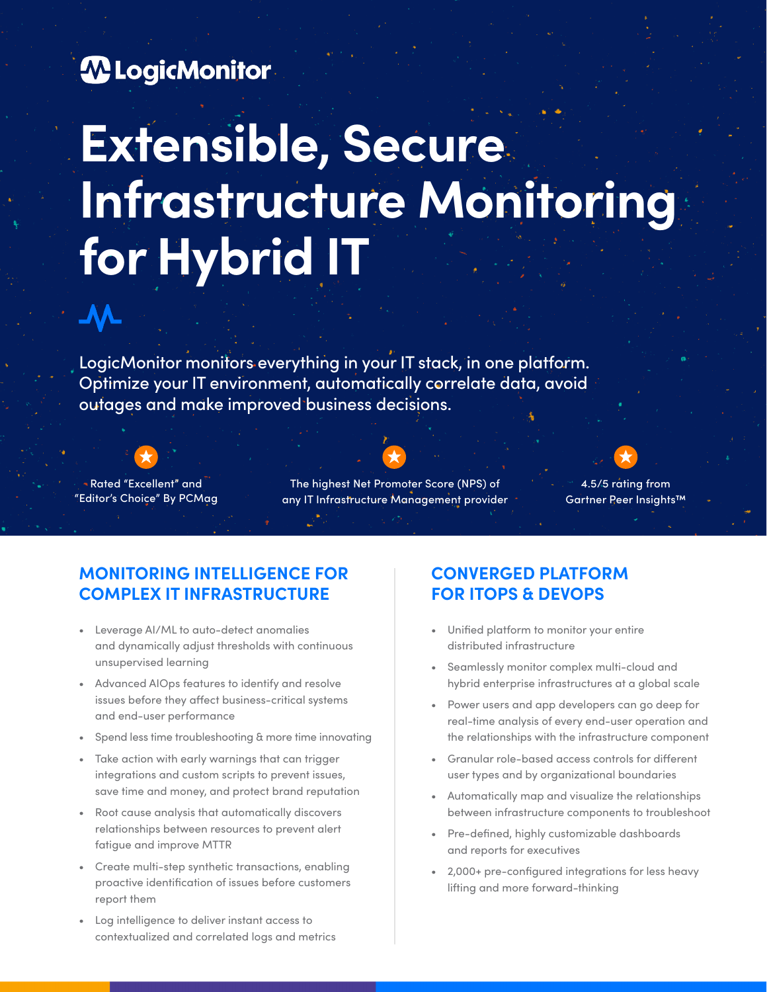

# **Extensible, Secure Infrastructure Monitoring for Hybrid IT**

LogicMonitor monitors everything in your IT stack, in one platform. Optimize your IT environment, automatically correlate data, avoid outages and make improved business decisions.



**VY** 

Rated "Excellent" and "Editor's Choice" By PCMag

The highest Net Promoter Score (NPS) of any IT Infrastructure Management provider



4.5/5 rating from Gartner Peer Insights™

# **MONITORING INTELLIGENCE FOR COMPLEX IT INFRASTRUCTURE**

- Leverage AI/ML to auto-detect anomalies and dynamically adjust thresholds with continuous unsupervised learning
- Advanced AIOps features to identify and resolve issues before they affect business-critical systems and end-user performance
- Spend less time troubleshooting & more time innovating
- Take action with early warnings that can trigger integrations and custom scripts to prevent issues, save time and money, and protect brand reputation
- Root cause analysis that automatically discovers relationships between resources to prevent alert fatigue and improve MTTR
- Create multi-step synthetic transactions, enabling proactive identification of issues before customers report them
- Log intelligence to deliver instant access to contextualized and correlated logs and metrics

# **CONVERGED PLATFORM FOR ITOPS & DEVOPS**

- Unified platform to monitor your entire distributed infrastructure
- Seamlessly monitor complex multi-cloud and hybrid enterprise infrastructures at a global scale
- Power users and app developers can go deep for real-time analysis of every end-user operation and the relationships with the infrastructure component
- Granular role-based access controls for different user types and by organizational boundaries
- Automatically map and visualize the relationships between infrastructure components to troubleshoot
- Pre-defined, highly customizable dashboards and reports for executives
- 2,000+ pre-configured integrations for less heavy lifting and more forward-thinking